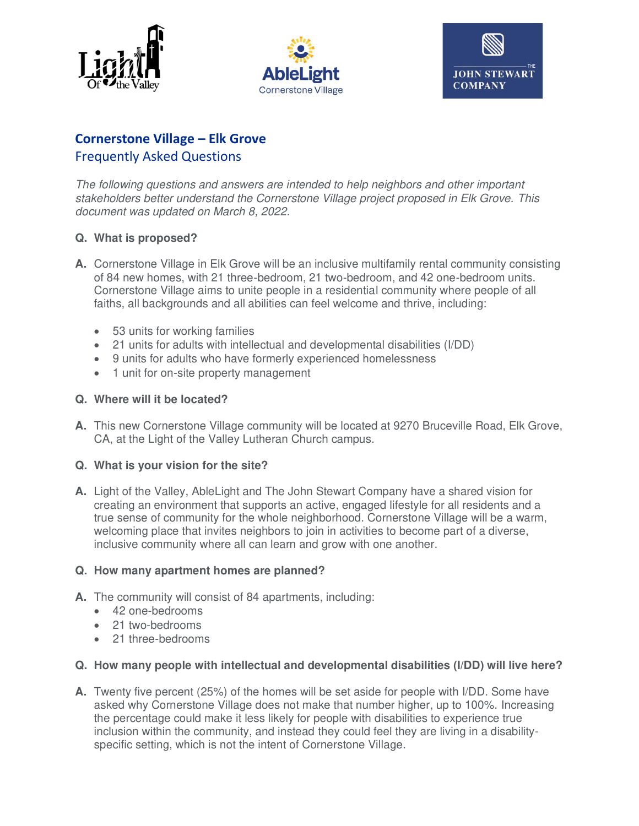





# **Cornerstone Village – Elk Grove**  Frequently Asked Questions

The following questions and answers are intended to help neighbors and other important stakeholders better understand the Cornerstone Village project proposed in Elk Grove. This document was updated on March 8, 2022.

# **Q. What is proposed?**

- **A.** Cornerstone Village in Elk Grove will be an inclusive multifamily rental community consisting of 84 new homes, with 21 three-bedroom, 21 two-bedroom, and 42 one-bedroom units. Cornerstone Village aims to unite people in a residential community where people of all faiths, all backgrounds and all abilities can feel welcome and thrive, including:
	- 53 units for working families
	- 21 units for adults with intellectual and developmental disabilities (I/DD)
	- 9 units for adults who have formerly experienced homelessness
	- 1 unit for on-site property management

#### **Q. Where will it be located?**

**A.** This new Cornerstone Village community will be located at 9270 Bruceville Road, Elk Grove, CA, at the Light of the Valley Lutheran Church campus.

#### **Q. What is your vision for the site?**

**A.** Light of the Valley, AbleLight and The John Stewart Company have a shared vision for creating an environment that supports an active, engaged lifestyle for all residents and a true sense of community for the whole neighborhood. Cornerstone Village will be a warm, welcoming place that invites neighbors to join in activities to become part of a diverse, inclusive community where all can learn and grow with one another.

#### **Q. How many apartment homes are planned?**

- **A.** The community will consist of 84 apartments, including:
	- 42 one-bedrooms
	- 21 two-bedrooms
	- 21 three-bedrooms

#### **Q. How many people with intellectual and developmental disabilities (I/DD) will live here?**

**A.** Twenty five percent (25%) of the homes will be set aside for people with I/DD. Some have asked why Cornerstone Village does not make that number higher, up to 100%. Increasing the percentage could make it less likely for people with disabilities to experience true inclusion within the community, and instead they could feel they are living in a disabilityspecific setting, which is not the intent of Cornerstone Village.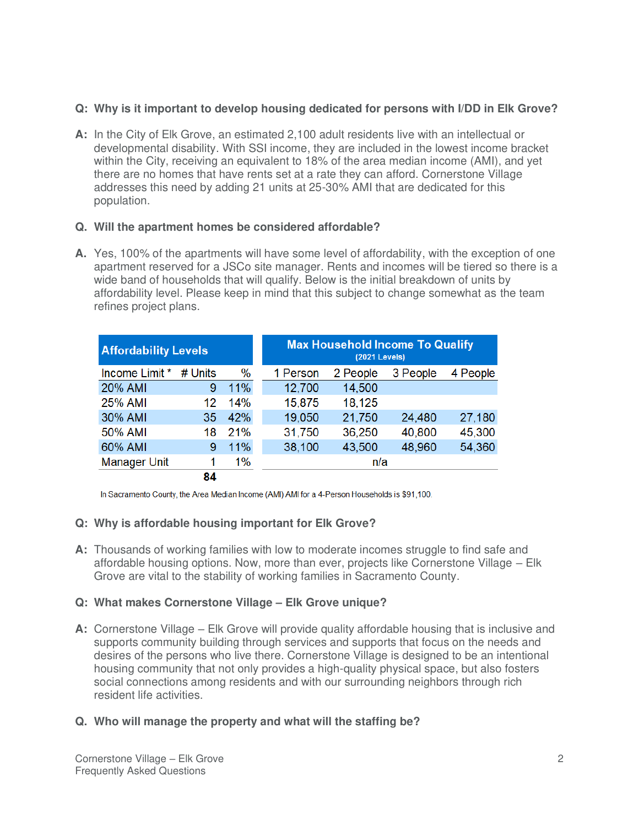### **Q: Why is it important to develop housing dedicated for persons with I/DD in Elk Grove?**

**A:** In the City of Elk Grove, an estimated 2,100 adult residents live with an intellectual or developmental disability. With SSI income, they are included in the lowest income bracket within the City, receiving an equivalent to 18% of the area median income (AMI), and yet there are no homes that have rents set at a rate they can afford. Cornerstone Village addresses this need by adding 21 units at 25-30% AMI that are dedicated for this population.

# **Q. Will the apartment homes be considered affordable?**

**A.** Yes, 100% of the apartments will have some level of affordability, with the exception of one apartment reserved for a JSCo site manager. Rents and incomes will be tiered so there is a wide band of households that will qualify. Below is the initial breakdown of units by affordability level. Please keep in mind that this subject to change somewhat as the team refines project plans.

| <b>Affordability Levels</b> |         |      | <b>Max Household Income To Qualify</b><br><b>(2021 Levels)</b> |          |          |          |
|-----------------------------|---------|------|----------------------------------------------------------------|----------|----------|----------|
| Income Limit *              | # Units | $\%$ | 1 Person                                                       | 2 People | 3 People | 4 People |
| 20% AMI                     | 9       | 11%  | 12,700                                                         | 14,500   |          |          |
| 25% AMI                     | 12      | 14%  | 15,875                                                         | 18,125   |          |          |
| 30% AMI                     | 35      | 42%  | 19,050                                                         | 21,750   | 24,480   | 27,180   |
| 50% AMI                     | 18      | 21%  | 31,750                                                         | 36,250   | 40,800   | 45,300   |
| 60% AMI                     | 9       | 11%  | 38,100                                                         | 43,500   | 48,960   | 54,360   |
| <b>Manager Unit</b>         |         | 1%   | n/a                                                            |          |          |          |
|                             | 84      |      |                                                                |          |          |          |

In Sacramento County, the Area Median Income (AMI) AMI for a 4-Person Households is \$91,100.

# **Q: Why is affordable housing important for Elk Grove?**

**A:** Thousands of working families with low to moderate incomes struggle to find safe and affordable housing options. Now, more than ever, projects like Cornerstone Village – Elk Grove are vital to the stability of working families in Sacramento County.

# **Q: What makes Cornerstone Village – Elk Grove unique?**

**A:** Cornerstone Village – Elk Grove will provide quality affordable housing that is inclusive and supports community building through services and supports that focus on the needs and desires of the persons who live there. Cornerstone Village is designed to be an intentional housing community that not only provides a high-quality physical space, but also fosters social connections among residents and with our surrounding neighbors through rich resident life activities.

# **Q. Who will manage the property and what will the staffing be?**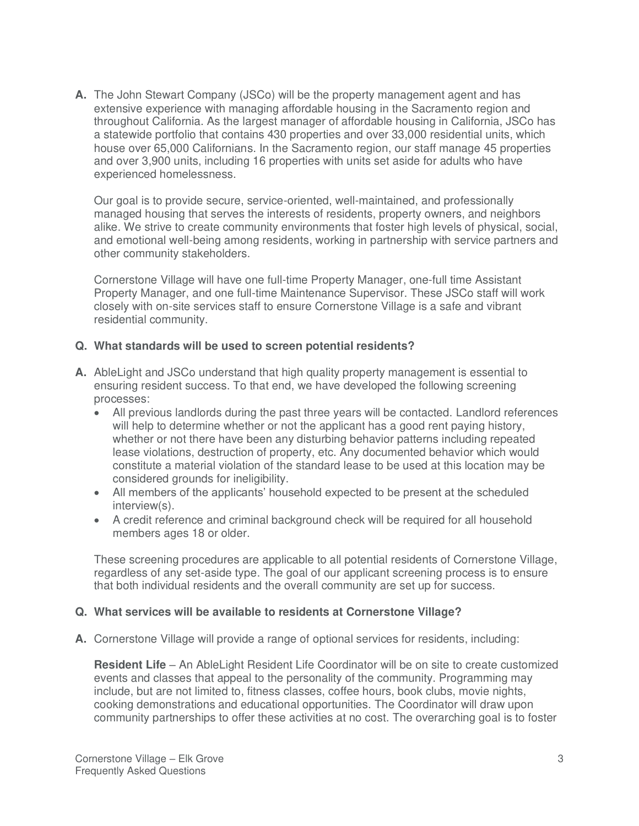**A.** The John Stewart Company (JSCo) will be the property management agent and has extensive experience with managing affordable housing in the Sacramento region and throughout California. As the largest manager of affordable housing in California, JSCo has a statewide portfolio that contains 430 properties and over 33,000 residential units, which house over 65,000 Californians. In the Sacramento region, our staff manage 45 properties and over 3,900 units, including 16 properties with units set aside for adults who have experienced homelessness.

 Our goal is to provide secure, service-oriented, well-maintained, and professionally managed housing that serves the interests of residents, property owners, and neighbors alike. We strive to create community environments that foster high levels of physical, social, and emotional well-being among residents, working in partnership with service partners and other community stakeholders.

Cornerstone Village will have one full-time Property Manager, one-full time Assistant Property Manager, and one full-time Maintenance Supervisor. These JSCo staff will work closely with on-site services staff to ensure Cornerstone Village is a safe and vibrant residential community.

#### **Q. What standards will be used to screen potential residents?**

- **A.** AbleLight and JSCo understand that high quality property management is essential to ensuring resident success. To that end, we have developed the following screening processes:
	- All previous landlords during the past three years will be contacted. Landlord references will help to determine whether or not the applicant has a good rent paying history, whether or not there have been any disturbing behavior patterns including repeated lease violations, destruction of property, etc. Any documented behavior which would constitute a material violation of the standard lease to be used at this location may be considered grounds for ineligibility.
	- All members of the applicants' household expected to be present at the scheduled interview(s).
	- A credit reference and criminal background check will be required for all household members ages 18 or older.

These screening procedures are applicable to all potential residents of Cornerstone Village, regardless of any set-aside type. The goal of our applicant screening process is to ensure that both individual residents and the overall community are set up for success.

#### **Q. What services will be available to residents at Cornerstone Village?**

**A.** Cornerstone Village will provide a range of optional services for residents, including:

**Resident Life** – An AbleLight Resident Life Coordinator will be on site to create customized events and classes that appeal to the personality of the community. Programming may include, but are not limited to, fitness classes, coffee hours, book clubs, movie nights, cooking demonstrations and educational opportunities. The Coordinator will draw upon community partnerships to offer these activities at no cost. The overarching goal is to foster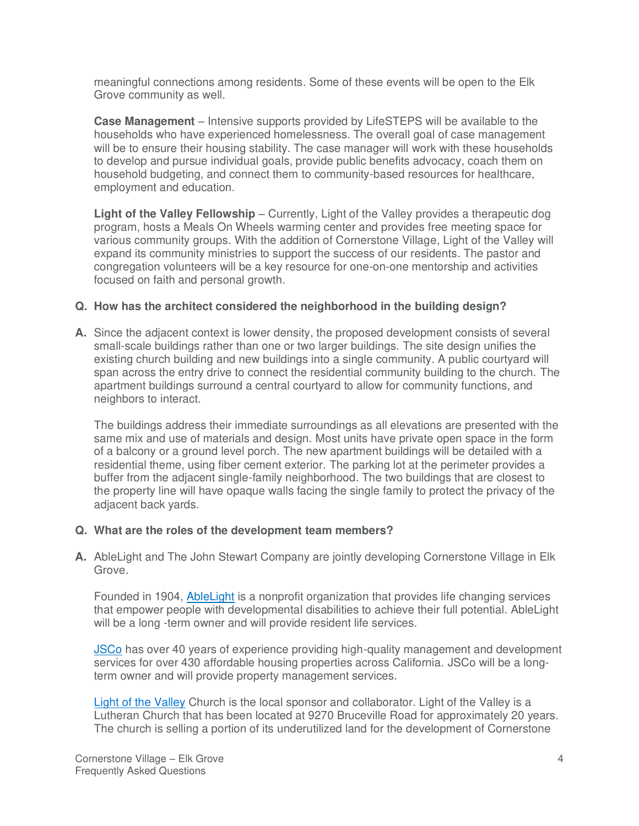meaningful connections among residents. Some of these events will be open to the Elk Grove community as well.

**Case Management** – Intensive supports provided by LifeSTEPS will be available to the households who have experienced homelessness. The overall goal of case management will be to ensure their housing stability. The case manager will work with these households to develop and pursue individual goals, provide public benefits advocacy, coach them on household budgeting, and connect them to community-based resources for healthcare, employment and education.

**Light of the Valley Fellowship** – Currently, Light of the Valley provides a therapeutic dog program, hosts a Meals On Wheels warming center and provides free meeting space for various community groups. With the addition of Cornerstone Village, Light of the Valley will expand its community ministries to support the success of our residents. The pastor and congregation volunteers will be a key resource for one-on-one mentorship and activities focused on faith and personal growth.

#### **Q. How has the architect considered the neighborhood in the building design?**

**A.** Since the adjacent context is lower density, the proposed development consists of several small-scale buildings rather than one or two larger buildings. The site design unifies the existing church building and new buildings into a single community. A public courtyard will span across the entry drive to connect the residential community building to the church. The apartment buildings surround a central courtyard to allow for community functions, and neighbors to interact.

The buildings address their immediate surroundings as all elevations are presented with the same mix and use of materials and design. Most units have private open space in the form of a balcony or a ground level porch. The new apartment buildings will be detailed with a residential theme, using fiber cement exterior. The parking lot at the perimeter provides a buffer from the adjacent single-family neighborhood. The two buildings that are closest to the property line will have opaque walls facing the single family to protect the privacy of the adjacent back yards.

#### **Q. What are the roles of the development team members?**

**A.** AbleLight and The John Stewart Company are jointly developing Cornerstone Village in Elk Grove.

Founded in 1904, **AbleLight** is a nonprofit organization that provides life changing services that empower people with developmental disabilities to achieve their full potential. AbleLight will be a long -term owner and will provide resident life services.

[JSCo](https://jsco.net/) has over 40 years of experience providing high-quality management and development services for over 430 affordable housing properties across California. JSCo will be a longterm owner and will provide property management services.

[Light of the Valley](https://lightofthevalley.net/) Church is the local sponsor and collaborator. Light of the Valley is a Lutheran Church that has been located at 9270 Bruceville Road for approximately 20 years. The church is selling a portion of its underutilized land for the development of Cornerstone